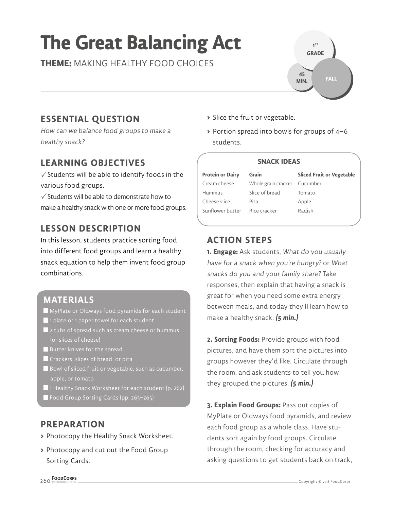# **The Great Balancing Act**

**THEME:** MAKING HEALTHY FOOD CHOICES



## **ESSENTIAL QUESTION**

How can we balance food groups to make a healthy snack?

## **LEARNING OBJECTIVES**

 $\checkmark$  Students will be able to identify foods in the various food groups.

 $\checkmark$  Students will be able to demonstrate how to make a healthy snack with one or more food groups.

## **LESSON DESCRIPTION**

In this lesson, students practice sorting food into different food groups and learn a healthy snack equation to help them invent food group combinations.

### **MATERIALS**

- MyPlate or Oldways food pyramids for each student
- 1 plate or 1 paper towel for each student
- 2 tubs of spread such as cream cheese or hummus
- Butter knives for the spread
- Crackers, slices of bread, or pita
- Bowl of sliced fruit or vegetable, such as cucumber, apple, or tomato
- 1 Healthy Snack Worksheet for each student (p. 262)
- Food Group Sorting Cards (pp. 263-265)

## **PREPARATION**

- **>** Photocopy the Healthy Snack Worksheet.
- **>** Photocopy and cut out the Food Group Sorting Cards.
- **>** Slice the fruit or vegetable.
- **>** Portion spread into bowls for groups of 4–6 students.

#### **SNACK IDEAS**

**Protein or Dairy** Cream cheese Hummus Cheese slice Sunflower butter **Grain** Pita

Whole grain cracker Slice of bread Rice cracker

**Sliced Fruit or Vegetable** Cucumber Tomato Apple Radish

## **ACTION STEPS**

**1. Engage:** Ask students, What do you usually have for a snack when you're hungry? or What snacks do you and your family share? Take responses, then explain that having a snack is great for when you need some extra energy between meals, and today they'll learn how to make a healthy snack. **(5 min.)**

**2. Sorting Foods:** Provide groups with food pictures, and have them sort the pictures into groups however they'd like. Circulate through the room, and ask students to tell you how they grouped the pictures. **(5 min.)**

**3. Explain Food Groups:** Pass out copies of MyPlate or Oldways food pyramids, and review each food group as a whole class. Have students sort again by food groups. Circulate through the room, checking for accuracy and asking questions to get students back on track,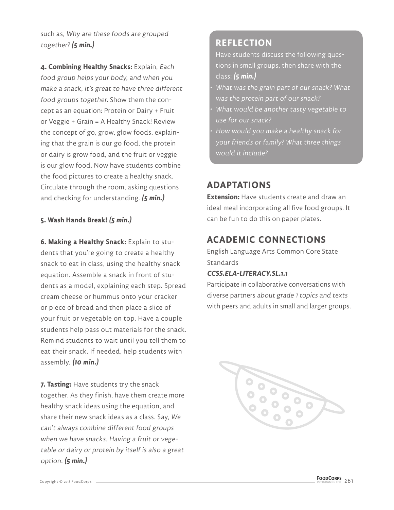such as, Why are these foods are grouped together? **(5 min.)**

**4. Combining Healthy Snacks:** Explain, Each food group helps your body, and when you make a snack, it's great to have three different food groups together. Show them the concept as an equation: Protein or Dairy + Fruit or Veggie + Grain = A Healthy Snack! Review the concept of go, grow, glow foods, explaining that the grain is our go food, the protein or dairy is grow food, and the fruit or veggie is our glow food. Now have students combine the food pictures to create a healthy snack. Circulate through the room, asking questions and checking for understanding. **(5 min.)**

#### **5. Wash Hands Break! (5 min.)**

**6. Making a Healthy Snack:** Explain to students that you're going to create a healthy snack to eat in class, using the healthy snack equation. Assemble a snack in front of students as a model, explaining each step. Spread cream cheese or hummus onto your cracker or piece of bread and then place a slice of your fruit or vegetable on top. Have a couple students help pass out materials for the snack. Remind students to wait until you tell them to eat their snack. If needed, help students with assembly. **(10 min.)**

**7. Tasting:** Have students try the snack together. As they finish, have them create more healthy snack ideas using the equation, and share their new snack ideas as a class. Say, We can't always combine different food groups when we have snacks. Having a fruit or vegetable or dairy or protein by itself is also a great option. **(5 min.)**

## **REFLECTION**

Have students discuss the following questions in small groups, then share with the class: **(5 min.)**

- What was the grain part of our snack? What was the protein part of our snack?
- What would be another tasty vegetable to use for our snack?
- How would you make a healthy snack for your friends or family? What three things would it include?

## **ADAPTATIONS**

**Extension:** Have students create and draw an ideal meal incorporating all five food groups. It can be fun to do this on paper plates.

## **ACADEMIC CONNECTIONS**

English Language Arts Common Core State **Standards** 

#### **CCSS.ELA-LITERACY.SL.1.1**

Participate in collaborative conversations with diverse partners about grade 1 topics and texts with peers and adults in small and larger groups.

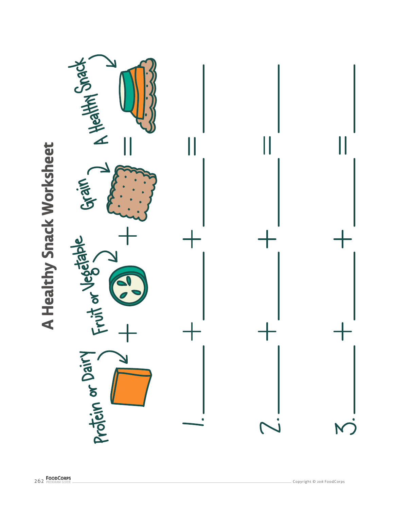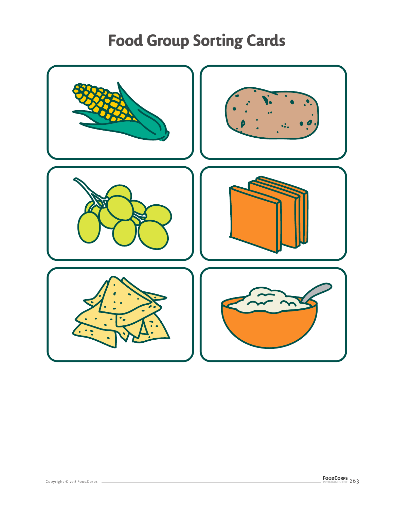## **Food Group Sorting Cards**

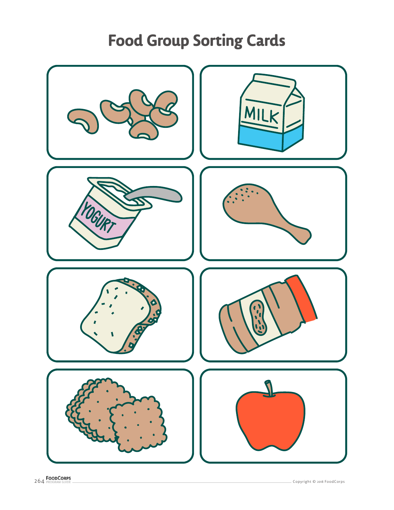## **Food Group Sorting Cards**